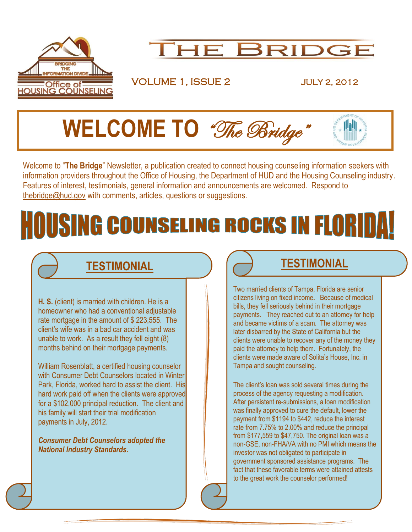



VOLUME 1, ISSUE 2 JULY 2, 2012



Welcome to "**The Bridge**" Newsletter, a publication created to connect housing counseling information seekers with information providers throughout the Office of Housing, the Department of HUD and the Housing Counseling industry. Features of interest, testimonials, general information and announcements are welcomed. Respond to [thebridge@hud.gov](mailto:thebridge@hud.gov) with comments, articles, questions or suggestions.

# **OUSING COUNSELING ROCKS IN FLORIDA!**

I

**H. S.** (client) is married with children. He is a homeowner who had a conventional adjustable rate mortgage in the amount of \$ 223,555. The client's wife was in a bad car accident and was unable to work. As a result they fell eight (8) months behind on their mortgage payments.

William Rosenblatt, a certified housing counselor with Consumer Debt Counselors located in Winter Park, Florida, worked hard to assist the client. His hard work paid off when the clients were approved for a \$102,000 principal reduction. The client and his family will start their trial modification payments in July, 2012.

*Consumer Debt Counselors adopted the National Industry Standards.*

## **TESTIMONIAL TESTIMONIAL**

Two married clients of Tampa, Florida are senior citizens living on fixed income**.** Because of medical bills, they fell seriously behind in their mortgage payments. They reached out to an attorney for help and became victims of a scam. The attorney was later disbarred by the State of California but the clients were unable to recover any of the money they paid the attorney to help them. Fortunately, the clients were made aware of Solita's House, Inc. in Tampa and sought counseling.

The client's loan was sold several times during the process of the agency requesting a modification. After persistent re-submissions, a loan modification was finally approved to cure the default, lower the payment from \$1194 to \$442, reduce the interest rate from 7.75% to 2.00% and reduce the principal from \$177,559 to \$47,750. The original loan was a non-GSE, non-FHA/VA with no PMI which means the investor was not obligated to participate in government sponsored assistance programs. The fact that these favorable terms were attained attests to the great work the counselor performed!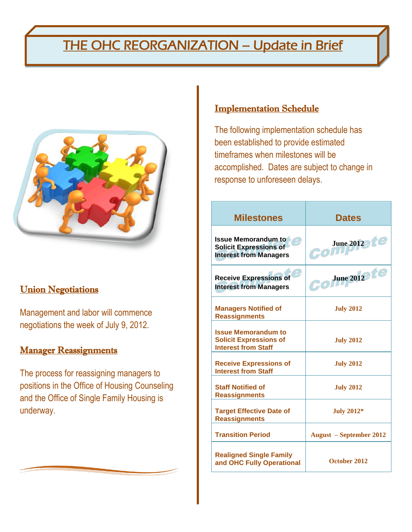## THE OHC REORGANIZATION – Update in Brief



#### **Union Negotiations**

Management and labor will commence negotiations the week of July 9, 2012.

#### **Manager Reassignments**

The process for reassigning managers to positions in the Office of Housing Counseling and the Office of Single Family Housing is underway.

### Implementation Schedule

The following implementation schedule has been established to provide estimated timeframes when milestones will be accomplished. Dates are subject to change in response to unforeseen delays.

| <b>Milestones</b>                                                                            | <b>Dates</b>                   |
|----------------------------------------------------------------------------------------------|--------------------------------|
| <b>Issue Memorandum to</b><br><b>Solicit Expressions of</b><br><b>Interest from Managers</b> | June 2012<br>com               |
| <b>Receive Expressions of</b><br><b>Interest from Managers</b>                               | $GO$ June 2012 te              |
| <b>Managers Notified of</b><br><b>Reassignments</b>                                          | <b>July 2012</b>               |
| <b>Issue Memorandum to</b><br><b>Solicit Expressions of</b><br><b>Interest from Staff</b>    | <b>July 2012</b>               |
| <b>Receive Expressions of</b><br><b>Interest from Staff</b>                                  | <b>July 2012</b>               |
| <b>Staff Notified of</b><br><b>Reassignments</b>                                             | <b>July 2012</b>               |
| <b>Target Effective Date of</b><br><b>Reassignments</b>                                      | <b>July 2012*</b>              |
| <b>Transition Period</b>                                                                     | <b>August</b> – September 2012 |
| <b>Realigned Single Family</b><br>and OHC Fully Operational                                  | October 2012                   |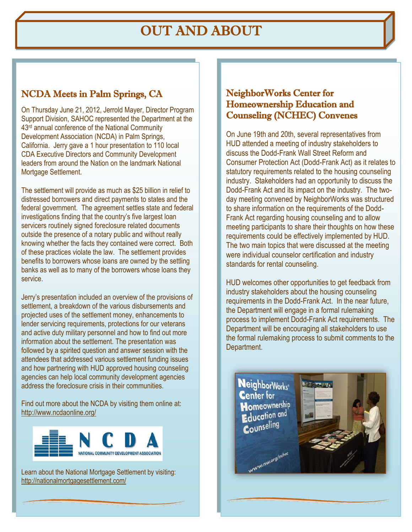## OUT AND ABOUT

### NCDA Meets in Palm Springs, CA

On Thursday June 21, 2012, Jerrold Mayer, Director Program Support Division, SAHOC represented the Department at the 43rd annual conference of the National Community Development Association (NCDA) in Palm Springs, California. Jerry gave a 1 hour presentation to 110 local CDA Executive Directors and Community Development leaders from around the Nation on the landmark National Mortgage Settlement.

The settlement will provide as much as \$25 billion in relief to distressed borrowers and direct payments to states and the federal government. The agreement settles state and federal investigations finding that the country's five largest loan servicers routinely signed foreclosure related documents outside the presence of a notary public and without really knowing whether the facts they contained were correct. Both of these practices violate the law. The settlement provides benefits to borrowers whose loans are owned by the settling banks as well as to many of the borrowers whose loans they service.

Jerry's presentation included an overview of the provisions of settlement, a breakdown of the various disbursements and projected uses of the settlement money, enhancements to lender servicing requirements, protections for our veterans and active duty military personnel and how to find out more information about the settlement. The presentation was followed by a spirited question and answer session with the attendees that addressed various settlement funding issues and how partnering with HUD approved housing counseling agencies can help local community development agencies address the foreclosure crisis in their communities.

Find out more about the NCDA by visiting them online at: <http://www.ncdaonline.org/>



Learn about the National Mortgage Settlement by visiting: <http://nationalmortgagesettlement.com/>

#### NeighborWorks Center for Homeownership Education and Counseling (NCHEC) Convenes

On June 19th and 20th, several representatives from HUD attended a meeting of industry stakeholders to discuss the Dodd-Frank Wall Street Reform and Consumer Protection Act (Dodd-Frank Act) as it relates to statutory requirements related to the housing counseling industry. Stakeholders had an opportunity to discuss the Dodd-Frank Act and its impact on the industry. The twoday meeting convened by NeighborWorks was structured to share information on the requirements of the Dodd-Frank Act regarding housing counseling and to allow meeting participants to share their thoughts on how these requirements could be effectively implemented by HUD. The two main topics that were discussed at the meeting were individual counselor certification and industry standards for rental counseling.

HUD welcomes other opportunities to get feedback from industry stakeholders about the housing counseling requirements in the Dodd-Frank Act. In the near future, the Department will engage in a formal rulemaking process to implement Dodd-Frank Act requirements. The Department will be encouraging all stakeholders to use the formal rulemaking process to submit comments to the Department.

**NeighborWorks® Center for Homeownership Education and** Counseling

www.nw.org/nchec

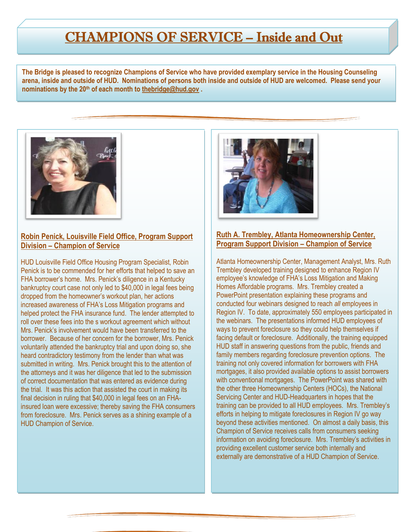## CHAMPIONS OF SERVICE – Inside and Out

**The Bridge is pleased to recognize Champions of Service who have provided exemplary service in the Housing Counseling arena, inside and outside of HUD. Nominations of persons both inside and outside of HUD are welcomed. Please send your nominations by the 20th of each month to [thebridge@hud.gov](mailto:thebridge@hud.gov) .**



#### **Robin Penick, Louisville Field Office, Program Support Division – Champion of Service**

HUD Louisville Field Office Housing Program Specialist, Robin Penick is to be commended for her efforts that helped to save an FHA borrower's home. Mrs. Penick's diligence in a Kentucky bankruptcy court case not only led to \$40,000 in legal fees being dropped from the homeowner's workout plan, her actions increased awareness of FHA's Loss Mitigation programs and helped protect the FHA insurance fund. The lender attempted to roll over these fees into the s workout agreement which without Mrs. Penick's involvement would have been transferred to the borrower. Because of her concern for the borrower, Mrs. Penick voluntarily attended the bankruptcy trial and upon doing so, she heard contradictory testimony from the lender than what was submitted in writing. Mrs. Penick brought this to the attention of the attorneys and it was her diligence that led to the submission of correct documentation that was entered as evidence during the trial. It was this action that assisted the court in making its final decision in ruling that \$40,000 in legal fees on an FHAinsured loan were excessive; thereby saving the FHA consumers from foreclosure. Mrs. Penick serves as a shining example of a HUD Champion of Service.



#### **Ruth A. Trembley, Atlanta Homeownership Center, Program Support Division – Champion of Service**

Atlanta Homeownership Center, Management Analyst, Mrs. Ruth Trembley developed training designed to enhance Region IV employee's knowledge of FHA's Loss Mitigation and Making Homes Affordable programs. Mrs. Trembley created a PowerPoint presentation explaining these programs and conducted four webinars designed to reach *all* employees in Region IV. To date, approximately 550 employees participated in the webinars. The presentations informed HUD employees of ways to prevent foreclosure so they could help themselves if facing default or foreclosure. Additionally, the training equipped HUD staff in answering questions from the public, friends and family members regarding foreclosure prevention options. The training not only covered information for borrowers with FHA mortgages, it also provided available options to assist borrowers with conventional mortgages. The PowerPoint was shared with the other three Homeownership Centers (HOCs), the National Servicing Center and HUD-Headquarters in hopes that the training can be provided to all HUD employees. Mrs. Trembley's efforts in helping to mitigate foreclosures in Region IV go way beyond these activities mentioned. On almost a daily basis, this Champion of Service receives calls from consumers seeking information on avoiding foreclosure. Mrs. Trembley's activities in providing excellent customer service both internally and externally are demonstrative of a HUD Champion of Service.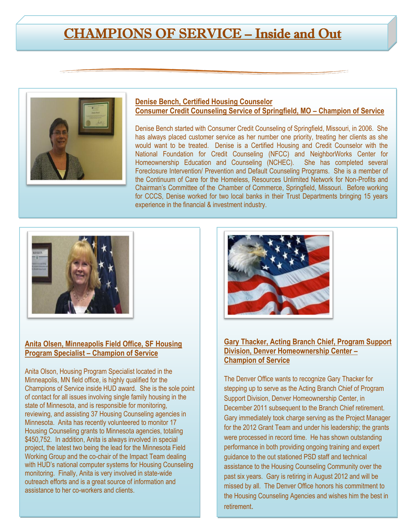## CHAMPIONS OF SERVICE – Inside and Out



#### **Denise Bench, Certified Housing Counselor Consumer Credit Counseling Service of Springfield, MO – Champion of Service**

Denise Bench started with Consumer Credit Counseling of Springfield, Missouri, in 2006. She has always placed customer service as her number one priority, treating her clients as she would want to be treated. Denise is a Certified Housing and Credit Counselor with the National Foundation for Credit Counseling (NFCC) and NeighborWorks Center for Homeownership Education and Counseling (NCHEC). She has completed several Foreclosure Intervention/ Prevention and Default Counseling Programs. She is a member of the Continuum of Care for the Homeless, Resources Unlimited Network for Non-Profits and Chairman's Committee of the Chamber of Commerce, Springfield, Missouri. Before working for CCCS, Denise worked for two local banks in their Trust Departments bringing 15 years experience in the financial & investment industry.



#### **Anita Olsen, Minneapolis Field Office, SF Housing Program Specialist – Champion of Service**

Anita Olson, Housing Program Specialist located in the Minneapolis, MN field office, is highly qualified for the Champions of Service inside HUD award. She is the sole point of contact for all issues involving single family housing in the state of Minnesota, and is responsible for monitoring, reviewing, and assisting 37 Housing Counseling agencies in Minnesota. Anita has recently volunteered to monitor 17 Housing Counseling grants to Minnesota agencies, totaling \$450,752. In addition, Anita is always involved in special project, the latest two being the lead for the Minnesota Field Working Group and the co-chair of the Impact Team dealing with HUD's national computer systems for Housing Counseling monitoring. Finally, Anita is very involved in state-wide outreach efforts and is a great source of information and assistance to her co-workers and clients.



#### **Gary Thacker, Acting Branch Chief, Program Support Division, Denver Homeownership Center – Champion of Service**

The Denver Office wants to recognize Gary Thacker for stepping up to serve as the Acting Branch Chief of Program Support Division, Denver Homeownership Center, in December 2011 subsequent to the Branch Chief retirement. Gary immediately took charge serving as the Project Manager for the 2012 Grant Team and under his leadership; the grants were processed in record time. He has shown outstanding performance in both providing ongoing training and expert guidance to the out stationed PSD staff and technical assistance to the Housing Counseling Community over the past six years. Gary is retiring in August 2012 and will be missed by all. The Denver Office honors his commitment to the Housing Counseling Agencies and wishes him the best in retirement.